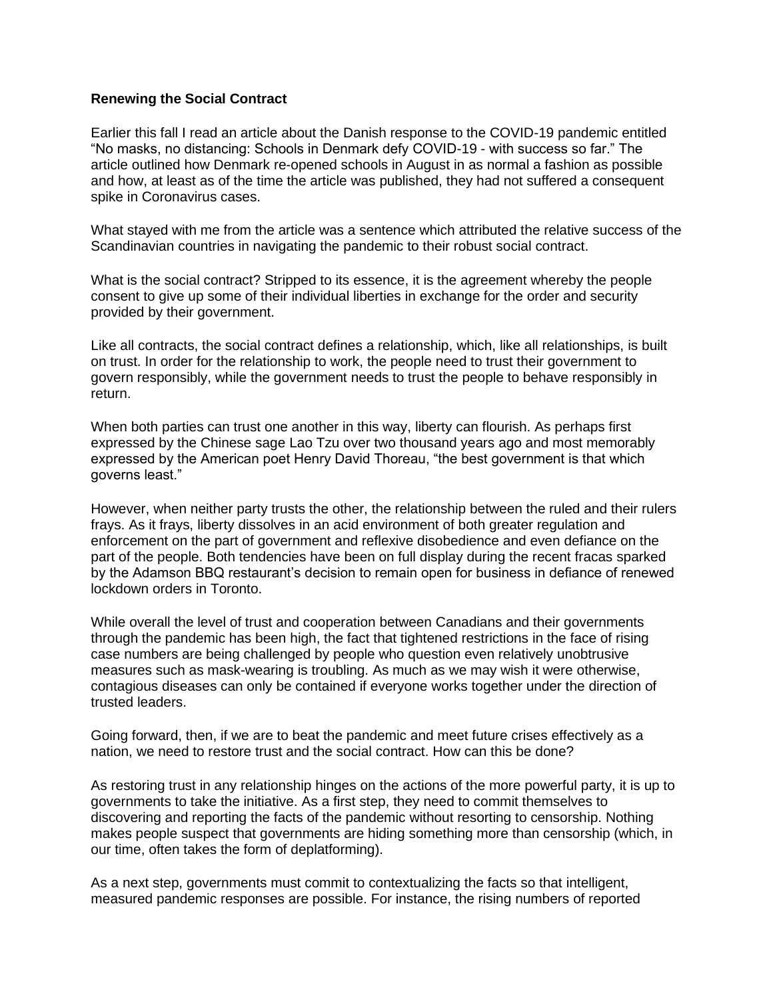## **Renewing the Social Contract**

Earlier this fall I read an article about the Danish response to the COVID-19 pandemic entitled "No masks, no distancing: Schools in Denmark defy COVID-19 - with success so far." The article outlined how Denmark re-opened schools in August in as normal a fashion as possible and how, at least as of the time the article was published, they had not suffered a consequent spike in Coronavirus cases.

What stayed with me from the article was a sentence which attributed the relative success of the Scandinavian countries in navigating the pandemic to their robust social contract.

What is the social contract? Stripped to its essence, it is the agreement whereby the people consent to give up some of their individual liberties in exchange for the order and security provided by their government.

Like all contracts, the social contract defines a relationship, which, like all relationships, is built on trust. In order for the relationship to work, the people need to trust their government to govern responsibly, while the government needs to trust the people to behave responsibly in return.

When both parties can trust one another in this way, liberty can flourish. As perhaps first expressed by the Chinese sage Lao Tzu over two thousand years ago and most memorably expressed by the American poet Henry David Thoreau, "the best government is that which governs least."

However, when neither party trusts the other, the relationship between the ruled and their rulers frays. As it frays, liberty dissolves in an acid environment of both greater regulation and enforcement on the part of government and reflexive disobedience and even defiance on the part of the people. Both tendencies have been on full display during the recent fracas sparked by the Adamson BBQ restaurant's decision to remain open for business in defiance of renewed lockdown orders in Toronto.

While overall the level of trust and cooperation between Canadians and their governments through the pandemic has been high, the fact that tightened restrictions in the face of rising case numbers are being challenged by people who question even relatively unobtrusive measures such as mask-wearing is troubling. As much as we may wish it were otherwise, contagious diseases can only be contained if everyone works together under the direction of trusted leaders.

Going forward, then, if we are to beat the pandemic and meet future crises effectively as a nation, we need to restore trust and the social contract. How can this be done?

As restoring trust in any relationship hinges on the actions of the more powerful party, it is up to governments to take the initiative. As a first step, they need to commit themselves to discovering and reporting the facts of the pandemic without resorting to censorship. Nothing makes people suspect that governments are hiding something more than censorship (which, in our time, often takes the form of deplatforming).

As a next step, governments must commit to contextualizing the facts so that intelligent, measured pandemic responses are possible. For instance, the rising numbers of reported